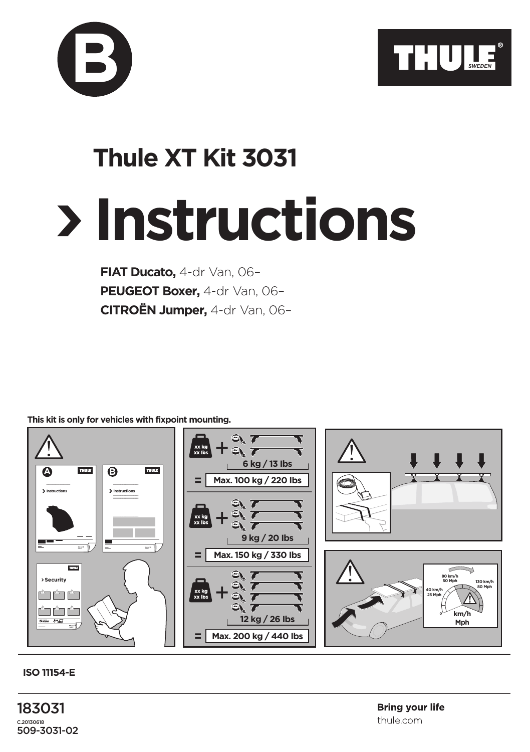



## **Instructions Thule XT Kit 3031**

**FIAT Ducato,** 4-dr Van, 06– **PEUGEOT Boxer,** 4-dr Van, 06– **CITROËN Jumper,** 4-dr Van, 06–

**This kit is only for vehicles with fixpoint mounting.**



**ISO 11154-E**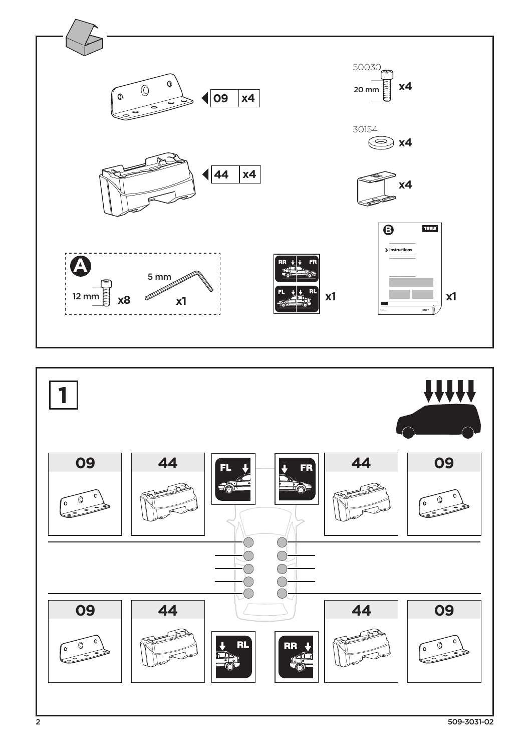

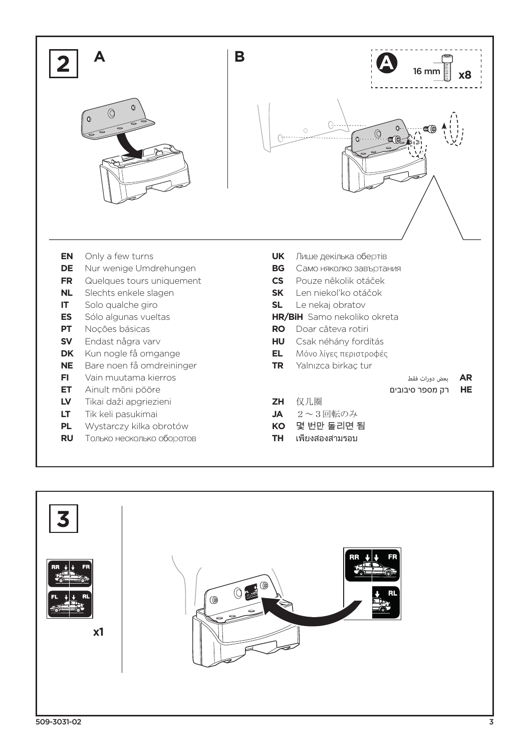